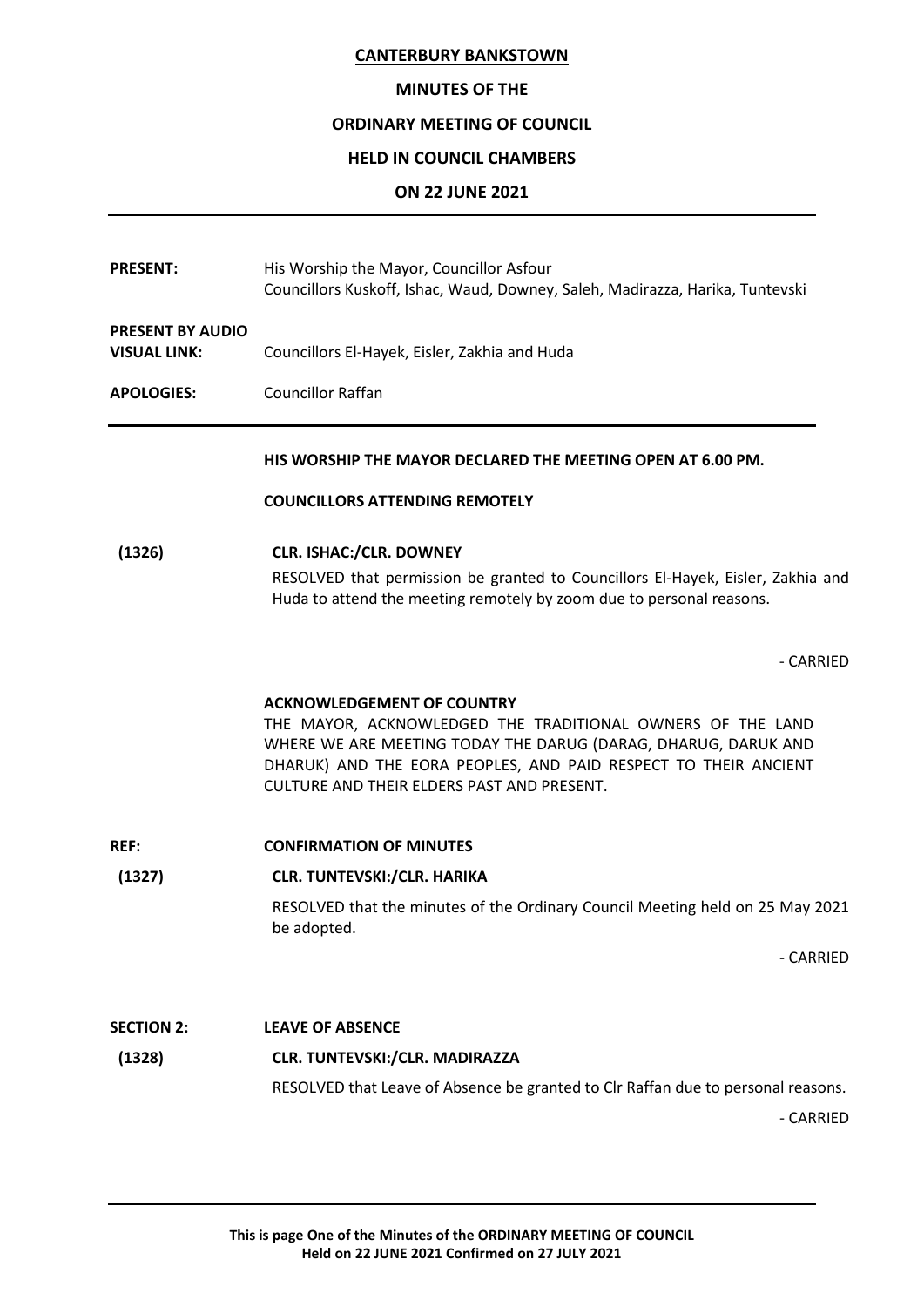## **MINUTES OF THE**

## **ORDINARY MEETING OF COUNCIL**

## **HELD IN COUNCIL CHAMBERS**

## **ON 22 JUNE 2021**

| <b>PRESENT:</b>                                | His Worship the Mayor, Councillor Asfour<br>Councillors Kuskoff, Ishac, Waud, Downey, Saleh, Madirazza, Harika, Tuntevski                                                                                                                                                          |
|------------------------------------------------|------------------------------------------------------------------------------------------------------------------------------------------------------------------------------------------------------------------------------------------------------------------------------------|
| <b>PRESENT BY AUDIO</b><br><b>VISUAL LINK:</b> | Councillors El-Hayek, Eisler, Zakhia and Huda                                                                                                                                                                                                                                      |
| <b>APOLOGIES:</b>                              | <b>Councillor Raffan</b>                                                                                                                                                                                                                                                           |
|                                                | HIS WORSHIP THE MAYOR DECLARED THE MEETING OPEN AT 6.00 PM.                                                                                                                                                                                                                        |
|                                                | <b>COUNCILLORS ATTENDING REMOTELY</b>                                                                                                                                                                                                                                              |
| (1326)                                         | <b>CLR. ISHAC:/CLR. DOWNEY</b><br>RESOLVED that permission be granted to Councillors El-Hayek, Eisler, Zakhia and<br>Huda to attend the meeting remotely by zoom due to personal reasons.                                                                                          |
|                                                | - CARRIED                                                                                                                                                                                                                                                                          |
|                                                | <b>ACKNOWLEDGEMENT OF COUNTRY</b><br>THE MAYOR, ACKNOWLEDGED THE TRADITIONAL OWNERS OF THE LAND<br>WHERE WE ARE MEETING TODAY THE DARUG (DARAG, DHARUG, DARUK AND<br>DHARUK) AND THE EORA PEOPLES, AND PAID RESPECT TO THEIR ANCIENT<br>CULTURE AND THEIR ELDERS PAST AND PRESENT. |
| REF:                                           | <b>CONFIRMATION OF MINUTES</b>                                                                                                                                                                                                                                                     |
| (1327)                                         | CLR. TUNTEVSKI:/CLR. HARIKA                                                                                                                                                                                                                                                        |
|                                                | RESOLVED that the minutes of the Ordinary Council Meeting held on 25 May 2021<br>be adopted.                                                                                                                                                                                       |
|                                                | - CARRIED                                                                                                                                                                                                                                                                          |
| <b>SECTION 2:</b>                              | <b>LEAVE OF ABSENCE</b>                                                                                                                                                                                                                                                            |
| (1328)                                         | CLR. TUNTEVSKI:/CLR. MADIRAZZA                                                                                                                                                                                                                                                     |
|                                                | RESOLVED that Leave of Absence be granted to Clr Raffan due to personal reasons.<br>- CARRIED                                                                                                                                                                                      |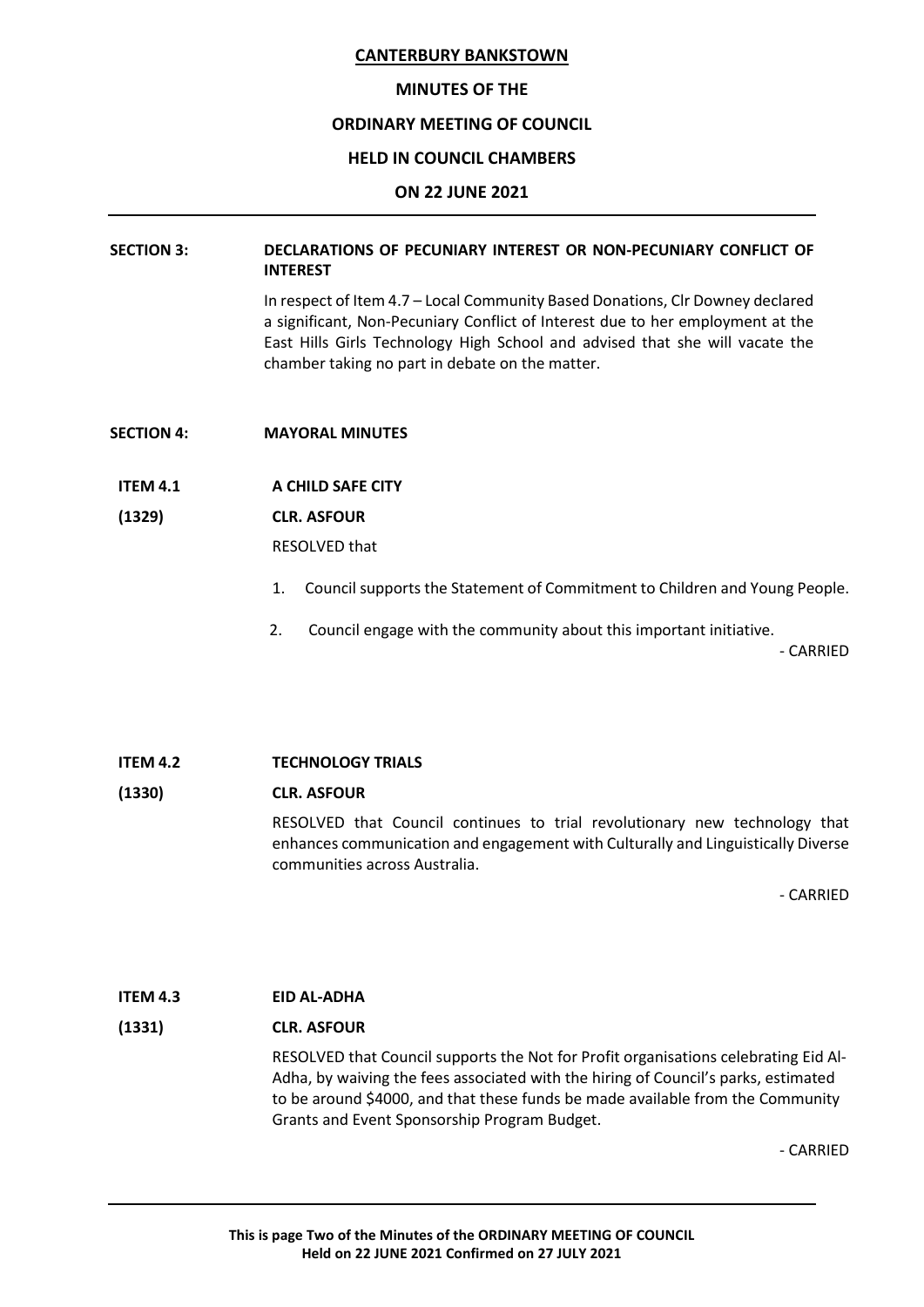#### **MINUTES OF THE**

## **ORDINARY MEETING OF COUNCIL**

#### **HELD IN COUNCIL CHAMBERS**

#### **ON 22 JUNE 2021**

## **SECTION 3: DECLARATIONS OF PECUNIARY INTEREST OR NON-PECUNIARY CONFLICT OF INTEREST**

In respect of Item 4.7 – Local Community Based Donations, Clr Downey declared a significant, Non-Pecuniary Conflict of Interest due to her employment at the East Hills Girls Technology High School and advised that she will vacate the chamber taking no part in debate on the matter.

- **SECTION 4: MAYORAL MINUTES**
- **ITEM 4.1 A CHILD SAFE CITY**

#### **(1329) CLR. ASFOUR**

RESOLVED that

- 1. Council supports the Statement of Commitment to Children and Young People.
- 2. Council engage with the community about this important initiative.

- CARRIED

## **ITEM 4.2 TECHNOLOGY TRIALS**

## **(1330) CLR. ASFOUR**

RESOLVED that Council continues to trial revolutionary new technology that enhances communication and engagement with Culturally and Linguistically Diverse communities across Australia.

- CARRIED

## **ITEM 4.3 EID AL-ADHA**

## **(1331) CLR. ASFOUR**

RESOLVED that Council supports the Not for Profit organisations celebrating Eid Al-Adha, by waiving the fees associated with the hiring of Council's parks, estimated to be around \$4000, and that these funds be made available from the Community Grants and Event Sponsorship Program Budget.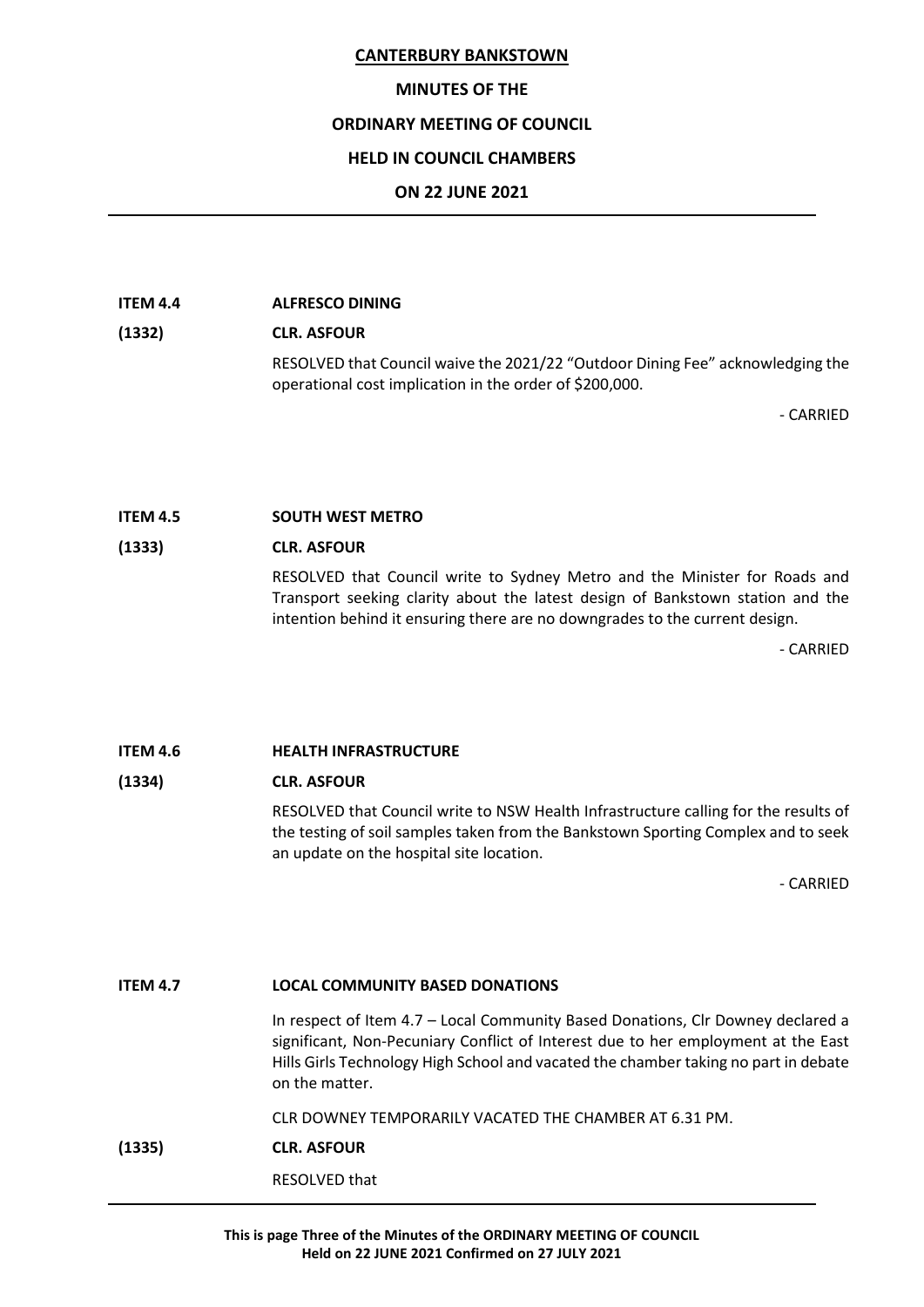## **MINUTES OF THE**

## **ORDINARY MEETING OF COUNCIL**

## **HELD IN COUNCIL CHAMBERS**

## **ON 22 JUNE 2021**

#### **ITEM 4.4 ALFRESCO DINING**

# **(1332) CLR. ASFOUR**

RESOLVED that Council waive the 2021/22 "Outdoor Dining Fee" acknowledging the operational cost implication in the order of \$200,000.

- CARRIED

## **ITEM 4.5 SOUTH WEST METRO**

## **(1333) CLR. ASFOUR**

RESOLVED that Council write to Sydney Metro and the Minister for Roads and Transport seeking clarity about the latest design of Bankstown station and the intention behind it ensuring there are no downgrades to the current design.

- CARRIED

# **ITEM 4.6 HEALTH INFRASTRUCTURE**

## **(1334) CLR. ASFOUR**

RESOLVED that Council write to NSW Health Infrastructure calling for the results of the testing of soil samples taken from the Bankstown Sporting Complex and to seek an update on the hospital site location.

- CARRIED

## **ITEM 4.7 LOCAL COMMUNITY BASED DONATIONS**

In respect of Item 4.7 – Local Community Based Donations, Clr Downey declared a significant, Non-Pecuniary Conflict of Interest due to her employment at the East Hills Girls Technology High School and vacated the chamber taking no part in debate on the matter.

CLR DOWNEY TEMPORARILY VACATED THE CHAMBER AT 6.31 PM.

## **(1335) CLR. ASFOUR**

RESOLVED that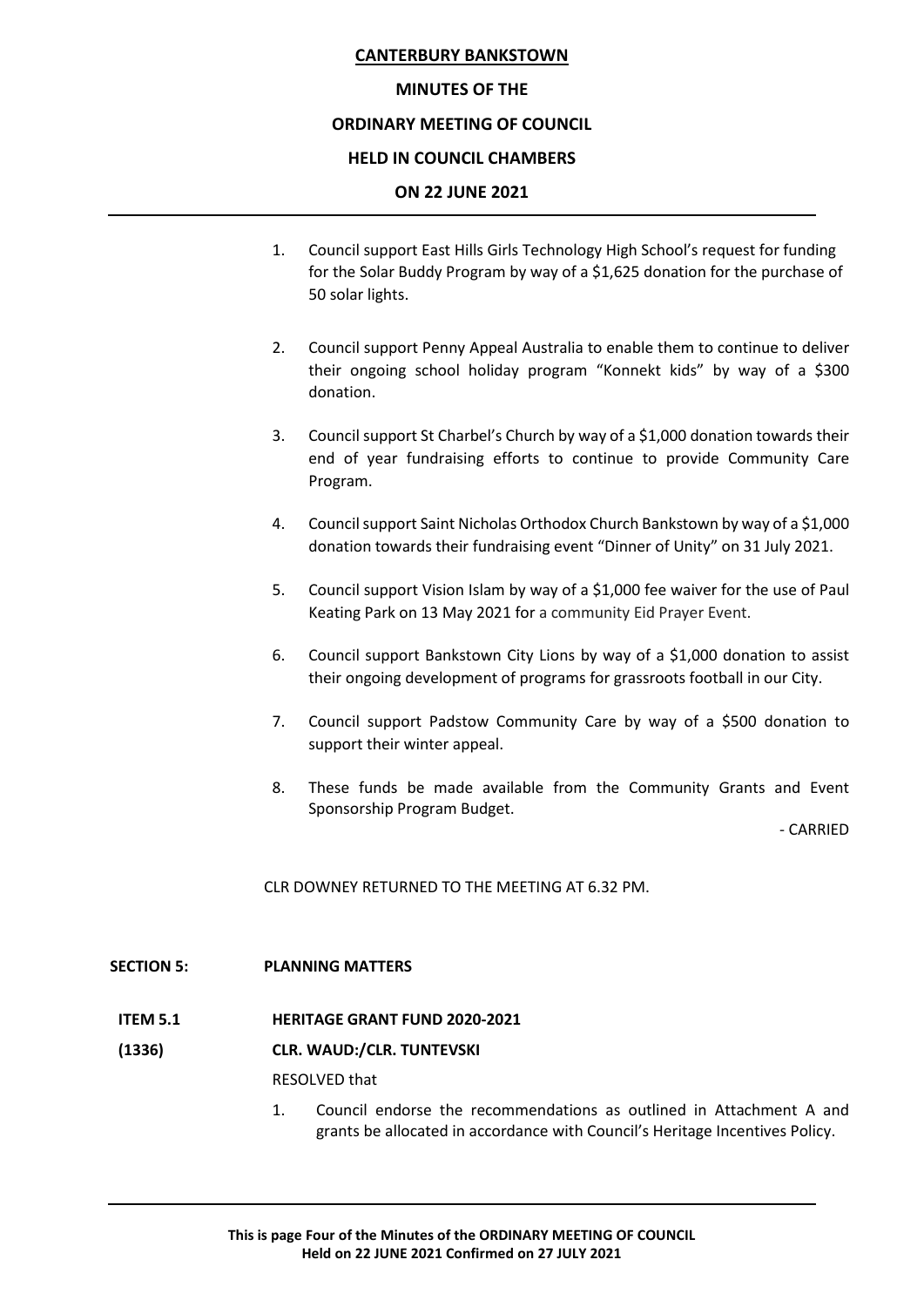## **MINUTES OF THE**

## **ORDINARY MEETING OF COUNCIL**

## **HELD IN COUNCIL CHAMBERS**

## **ON 22 JUNE 2021**

- 1. Council support East Hills Girls Technology High School's request for funding for the Solar Buddy Program by way of a \$1,625 donation for the purchase of 50 solar lights.
- 2. Council support Penny Appeal Australia to enable them to continue to deliver their ongoing school holiday program "Konnekt kids" by way of a \$300 donation.
- 3. Council support St Charbel's Church by way of a \$1,000 donation towards their end of year fundraising efforts to continue to provide Community Care Program.
- 4. Council support Saint Nicholas Orthodox Church Bankstown by way of a \$1,000 donation towards their fundraising event "Dinner of Unity" on 31 July 2021.
- 5. Council support Vision Islam by way of a \$1,000 fee waiver for the use of Paul Keating Park on 13 May 2021 for a community Eid Prayer Event.
- 6. Council support Bankstown City Lions by way of a \$1,000 donation to assist their ongoing development of programs for grassroots football in our City.
- 7. Council support Padstow Community Care by way of a \$500 donation to support their winter appeal.
- 8. These funds be made available from the Community Grants and Event Sponsorship Program Budget.

- CARRIED

CLR DOWNEY RETURNED TO THE MEETING AT 6.32 PM.

## **SECTION 5: PLANNING MATTERS**

**ITEM 5.1 HERITAGE GRANT FUND 2020-2021**

## **(1336) CLR. WAUD:/CLR. TUNTEVSKI**

RESOLVED that

1. Council endorse the recommendations as outlined in Attachment A and grants be allocated in accordance with Council's Heritage Incentives Policy.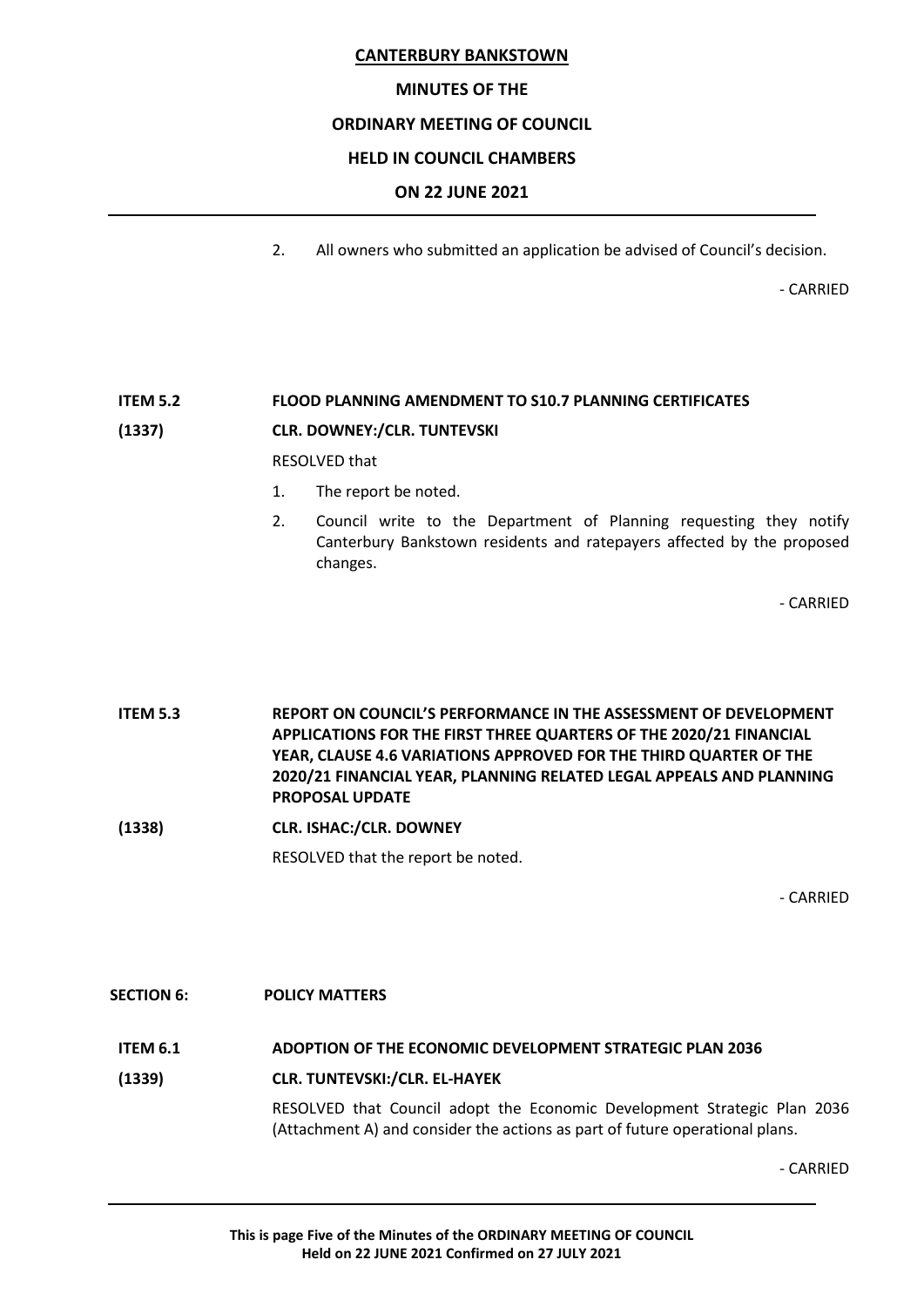## **MINUTES OF THE**

## **ORDINARY MEETING OF COUNCIL**

## **HELD IN COUNCIL CHAMBERS**

## **ON 22 JUNE 2021**

2. All owners who submitted an application be advised of Council's decision.

- CARRIED

# **ITEM 5.2 FLOOD PLANNING AMENDMENT TO S10.7 PLANNING CERTIFICATES**

## **(1337) CLR. DOWNEY:/CLR. TUNTEVSKI**

RESOLVED that

- 1. The report be noted.
- 2. Council write to the Department of Planning requesting they notify Canterbury Bankstown residents and ratepayers affected by the proposed changes.

- CARRIED

**ITEM 5.3 REPORT ON COUNCIL'S PERFORMANCE IN THE ASSESSMENT OF DEVELOPMENT APPLICATIONS FOR THE FIRST THREE QUARTERS OF THE 2020/21 FINANCIAL YEAR, CLAUSE 4.6 VARIATIONS APPROVED FOR THE THIRD QUARTER OF THE 2020/21 FINANCIAL YEAR, PLANNING RELATED LEGAL APPEALS AND PLANNING PROPOSAL UPDATE**

**(1338) CLR. ISHAC:/CLR. DOWNEY**

RESOLVED that the report be noted.

- CARRIED

**SECTION 6: POLICY MATTERS ITEM 6.1 ADOPTION OF THE ECONOMIC DEVELOPMENT STRATEGIC PLAN 2036 (1339) CLR. TUNTEVSKI:/CLR. EL-HAYEK** RESOLVED that Council adopt the Economic Development Strategic Plan 2036 (Attachment A) and consider the actions as part of future operational plans.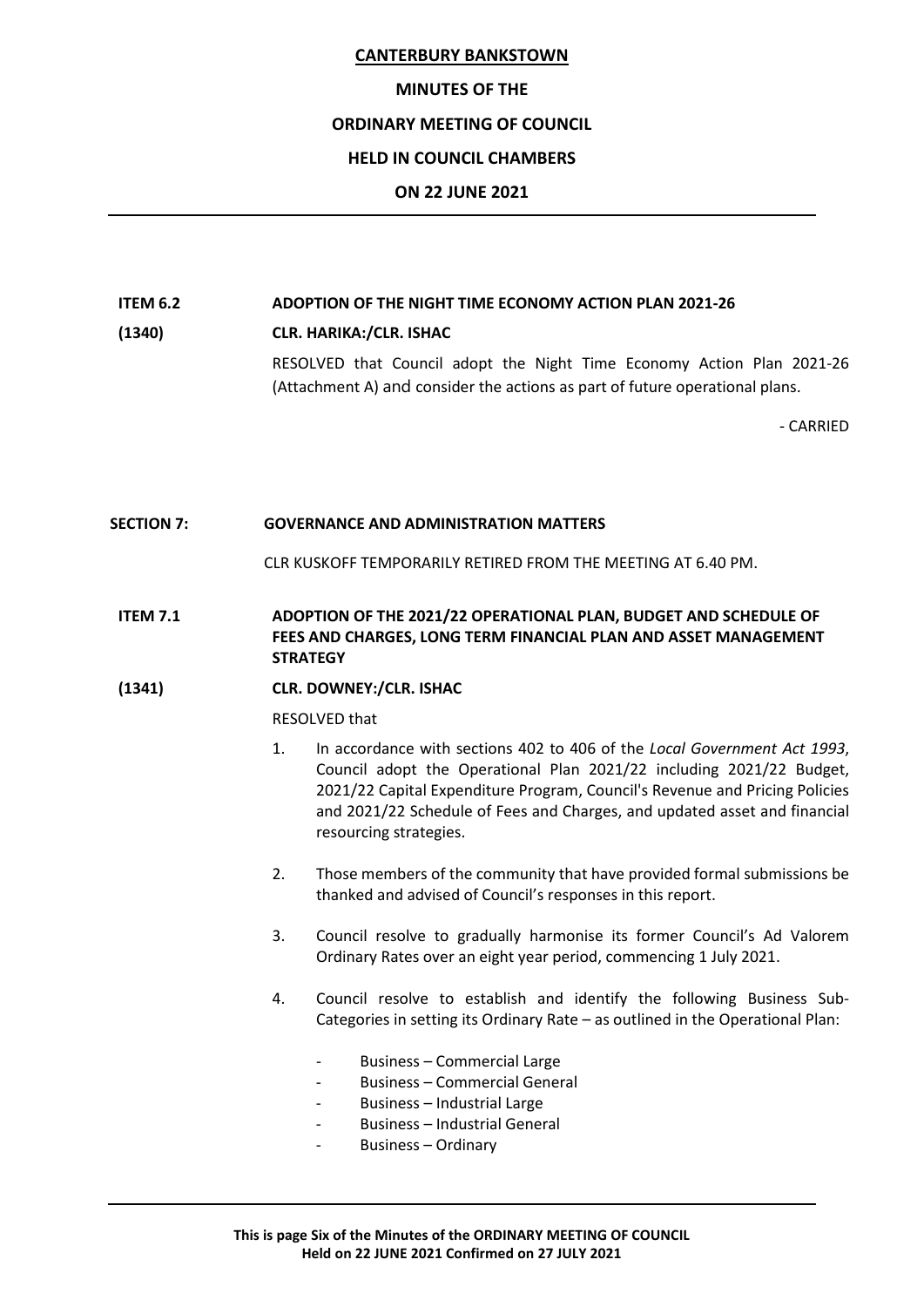#### **MINUTES OF THE**

## **ORDINARY MEETING OF COUNCIL**

## **HELD IN COUNCIL CHAMBERS**

## **ON 22 JUNE 2021**

# **ITEM 6.2 ADOPTION OF THE NIGHT TIME ECONOMY ACTION PLAN 2021-26**

## **(1340) CLR. HARIKA:/CLR. ISHAC**

RESOLVED that Council adopt the Night Time Economy Action Plan 2021-26 (Attachment A) and consider the actions as part of future operational plans.

- CARRIED

## **SECTION 7: GOVERNANCE AND ADMINISTRATION MATTERS**

CLR KUSKOFF TEMPORARILY RETIRED FROM THE MEETING AT 6.40 PM.

## **ITEM 7.1 ADOPTION OF THE 2021/22 OPERATIONAL PLAN, BUDGET AND SCHEDULE OF FEES AND CHARGES, LONG TERM FINANCIAL PLAN AND ASSET MANAGEMENT STRATEGY**

## **(1341) CLR. DOWNEY:/CLR. ISHAC**

## RESOLVED that

- 1. In accordance with sections 402 to 406 of the *Local Government Act 1993*, Council adopt the Operational Plan 2021/22 including 2021/22 Budget, 2021/22 Capital Expenditure Program, Council's Revenue and Pricing Policies and 2021/22 Schedule of Fees and Charges, and updated asset and financial resourcing strategies.
- 2. Those members of the community that have provided formal submissions be thanked and advised of Council's responses in this report.
- 3. Council resolve to gradually harmonise its former Council's Ad Valorem Ordinary Rates over an eight year period, commencing 1 July 2021.
- 4. Council resolve to establish and identify the following Business Sub-Categories in setting its Ordinary Rate – as outlined in the Operational Plan:
	- Business Commercial Large
	- Business Commercial General
	- Business Industrial Large
	- Business Industrial General
	- Business Ordinary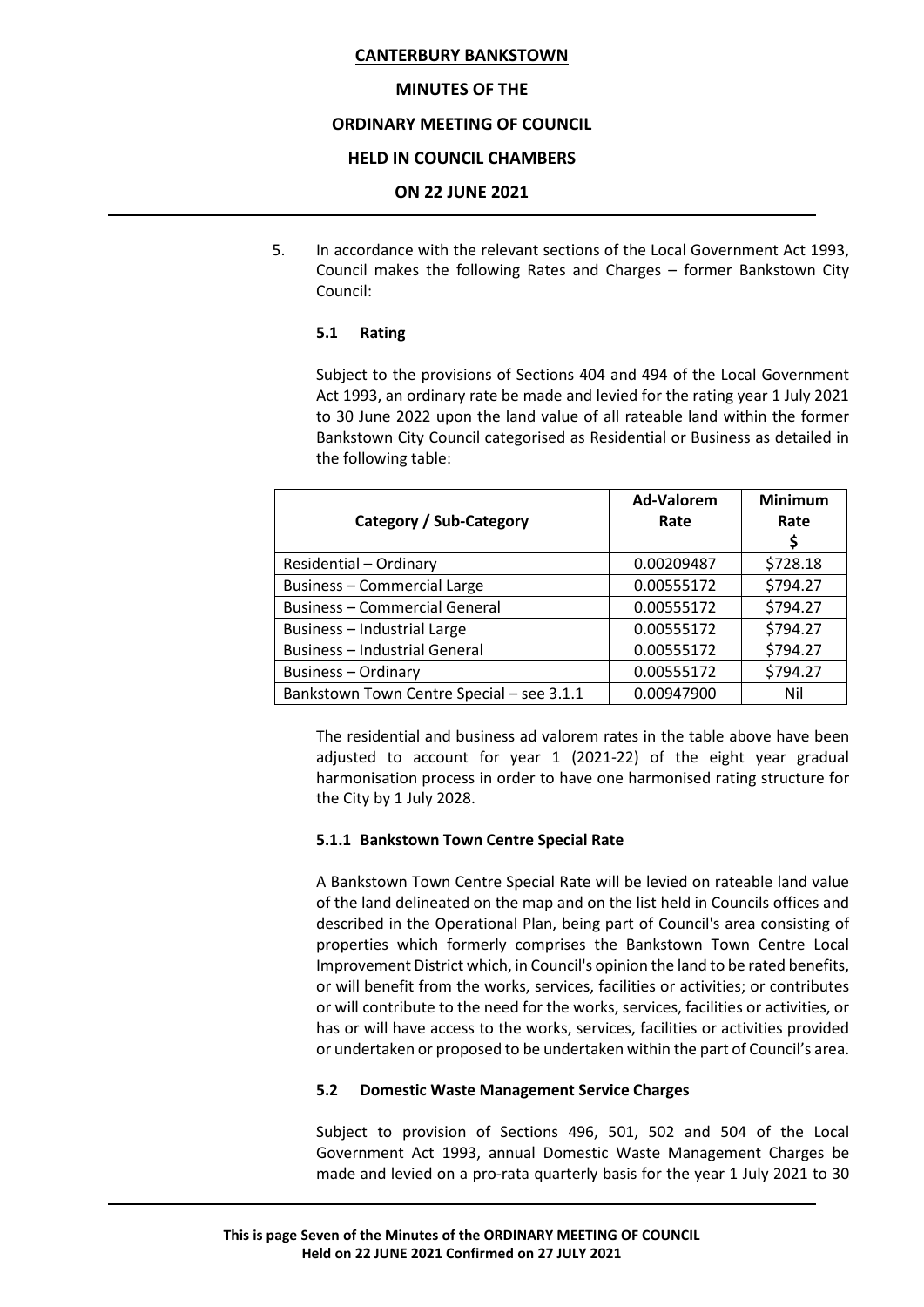## **MINUTES OF THE**

## **ORDINARY MEETING OF COUNCIL**

#### **HELD IN COUNCIL CHAMBERS**

#### **ON 22 JUNE 2021**

5. In accordance with the relevant sections of the Local Government Act 1993, Council makes the following Rates and Charges – former Bankstown City Council:

## **5.1 Rating**

Subject to the provisions of Sections 404 and 494 of the Local Government Act 1993, an ordinary rate be made and levied for the rating year 1 July 2021 to 30 June 2022 upon the land value of all rateable land within the former Bankstown City Council categorised as Residential or Business as detailed in the following table:

| Category / Sub-Category                   | Ad-Valorem<br>Rate | <b>Minimum</b><br>Rate<br>\$ |
|-------------------------------------------|--------------------|------------------------------|
| Residential - Ordinary                    | 0.00209487         | \$728.18                     |
| <b>Business - Commercial Large</b>        | 0.00555172         | \$794.27                     |
| <b>Business - Commercial General</b>      | 0.00555172         | \$794.27                     |
| Business - Industrial Large               | 0.00555172         | \$794.27                     |
| <b>Business - Industrial General</b>      | 0.00555172         | \$794.27                     |
| <b>Business - Ordinary</b>                | 0.00555172         | \$794.27                     |
| Bankstown Town Centre Special - see 3.1.1 | 0.00947900         | Nil                          |

The residential and business ad valorem rates in the table above have been adjusted to account for year 1 (2021-22) of the eight year gradual harmonisation process in order to have one harmonised rating structure for the City by 1 July 2028.

#### **5.1.1 Bankstown Town Centre Special Rate**

A Bankstown Town Centre Special Rate will be levied on rateable land value of the land delineated on the map and on the list held in Councils offices and described in the Operational Plan, being part of Council's area consisting of properties which formerly comprises the Bankstown Town Centre Local Improvement District which, in Council's opinion the land to be rated benefits, or will benefit from the works, services, facilities or activities; or contributes or will contribute to the need for the works, services, facilities or activities, or has or will have access to the works, services, facilities or activities provided or undertaken or proposed to be undertaken within the part of Council's area.

#### **5.2 Domestic Waste Management Service Charges**

Subject to provision of Sections 496, 501, 502 and 504 of the Local Government Act 1993, annual Domestic Waste Management Charges be made and levied on a pro-rata quarterly basis for the year 1 July 2021 to 30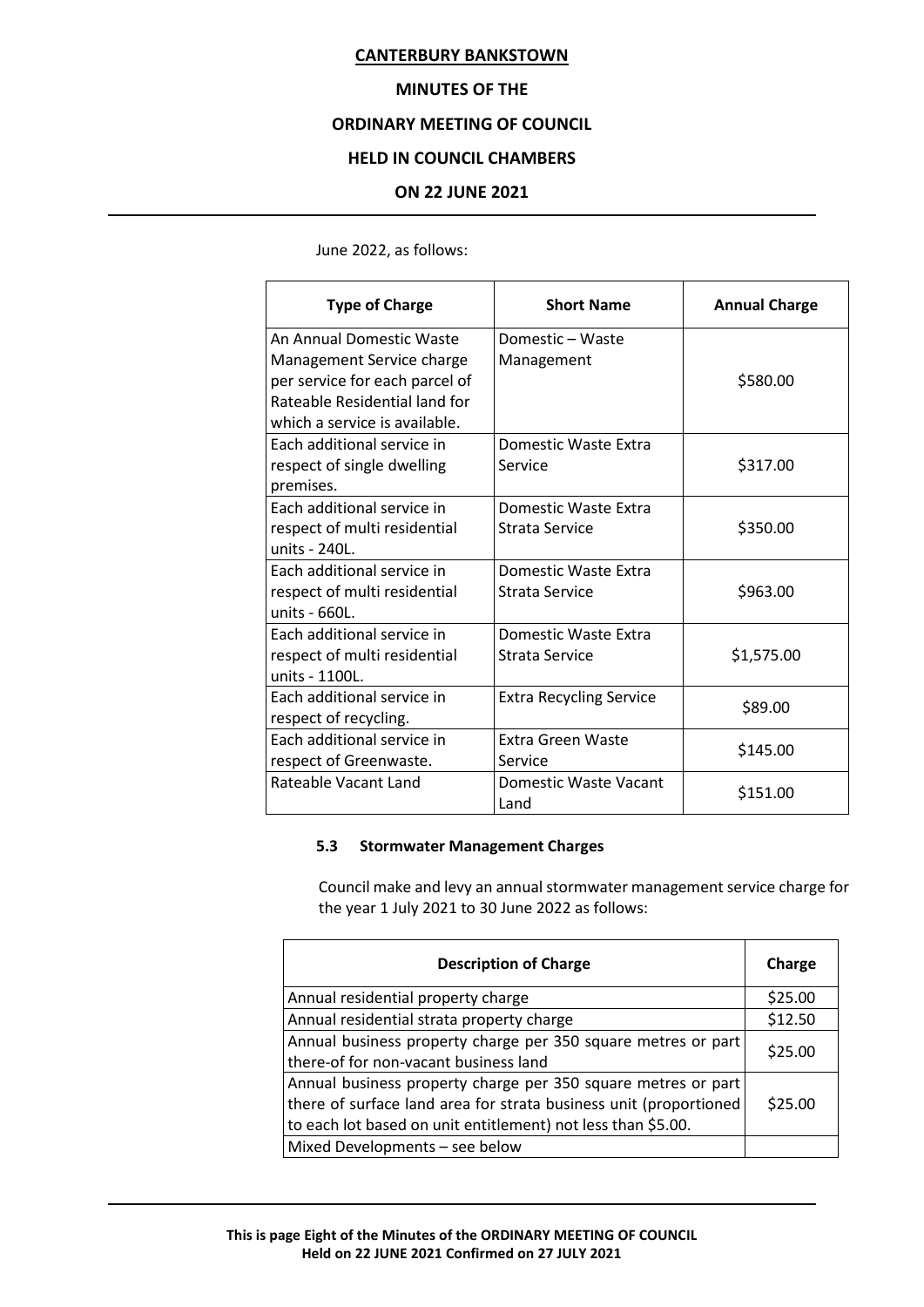## **MINUTES OF THE**

## **ORDINARY MEETING OF COUNCIL**

## **HELD IN COUNCIL CHAMBERS**

## **ON 22 JUNE 2021**

June 2022, as follows:

| <b>Type of Charge</b>                                                                                                                                     | <b>Short Name</b>                      | <b>Annual Charge</b> |
|-----------------------------------------------------------------------------------------------------------------------------------------------------------|----------------------------------------|----------------------|
| An Annual Domestic Waste<br>Management Service charge<br>per service for each parcel of<br>Rateable Residential land for<br>which a service is available. | Domestic - Waste<br>Management         | \$580.00             |
| Each additional service in<br>respect of single dwelling<br>premises.                                                                                     | Domestic Waste Extra<br>Service        | \$317.00             |
| Each additional service in<br>respect of multi residential<br>units - 240L.                                                                               | Domestic Waste Extra<br>Strata Service | \$350.00             |
| Each additional service in<br>respect of multi residential<br>units - 660L.                                                                               | Domestic Waste Extra<br>Strata Service | \$963.00             |
| Each additional service in<br>respect of multi residential<br>units - 1100L.                                                                              | Domestic Waste Extra<br>Strata Service | \$1,575.00           |
| Each additional service in<br>respect of recycling.                                                                                                       | <b>Extra Recycling Service</b>         | \$89.00              |
| Each additional service in<br>respect of Greenwaste.                                                                                                      | Extra Green Waste<br>Service           | \$145.00             |
| Rateable Vacant Land                                                                                                                                      | Domestic Waste Vacant<br>Land          | \$151.00             |

## **5.3 Stormwater Management Charges**

Council make and levy an annual stormwater management service charge for the year 1 July 2021 to 30 June 2022 as follows:

| <b>Description of Charge</b>                                      | Charge  |
|-------------------------------------------------------------------|---------|
| Annual residential property charge                                | \$25.00 |
| Annual residential strata property charge                         | \$12.50 |
| Annual business property charge per 350 square metres or part     | \$25.00 |
| there-of for non-vacant business land                             |         |
| Annual business property charge per 350 square metres or part     |         |
| there of surface land area for strata business unit (proportioned | \$25.00 |
| to each lot based on unit entitlement) not less than \$5.00.      |         |
| Mixed Developments - see below                                    |         |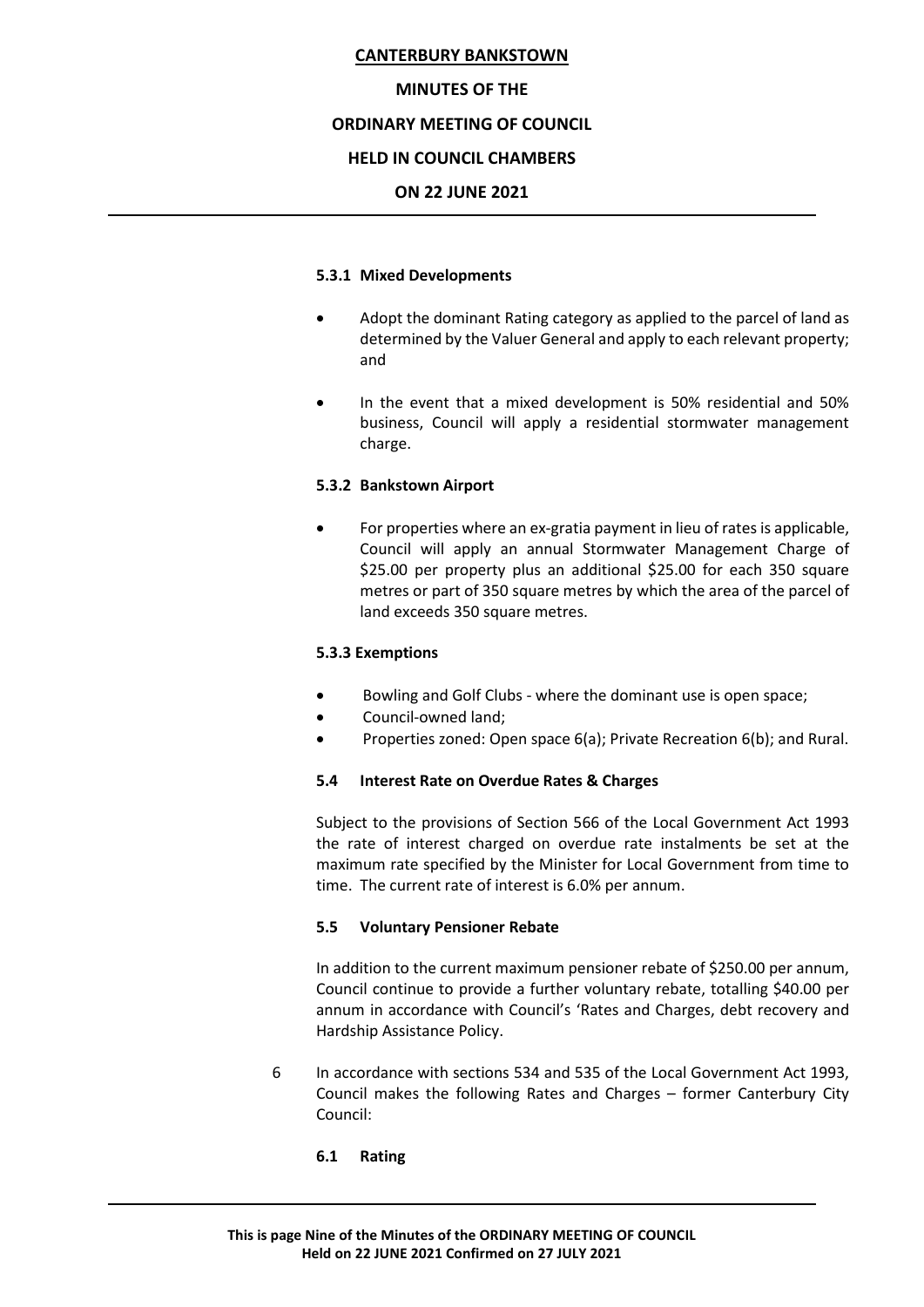## **MINUTES OF THE**

## **ORDINARY MEETING OF COUNCIL**

## **HELD IN COUNCIL CHAMBERS**

## **ON 22 JUNE 2021**

## **5.3.1 Mixed Developments**

- Adopt the dominant Rating category as applied to the parcel of land as determined by the Valuer General and apply to each relevant property; and
- In the event that a mixed development is 50% residential and 50% business, Council will apply a residential stormwater management charge.

## **5.3.2 Bankstown Airport**

• For properties where an ex-gratia payment in lieu of rates is applicable, Council will apply an annual Stormwater Management Charge of \$25.00 per property plus an additional \$25.00 for each 350 square metres or part of 350 square metres by which the area of the parcel of land exceeds 350 square metres.

## **5.3.3 Exemptions**

- Bowling and Golf Clubs where the dominant use is open space;
- Council-owned land;
- Properties zoned: Open space 6(a); Private Recreation 6(b); and Rural.

## **5.4 Interest Rate on Overdue Rates & Charges**

Subject to the provisions of Section 566 of the Local Government Act 1993 the rate of interest charged on overdue rate instalments be set at the maximum rate specified by the Minister for Local Government from time to time. The current rate of interest is 6.0% per annum.

## **5.5 Voluntary Pensioner Rebate**

In addition to the current maximum pensioner rebate of \$250.00 per annum, Council continue to provide a further voluntary rebate, totalling \$40.00 per annum in accordance with Council's 'Rates and Charges, debt recovery and Hardship Assistance Policy.

6 In accordance with sections 534 and 535 of the Local Government Act 1993, Council makes the following Rates and Charges – former Canterbury City Council:

## **6.1 Rating**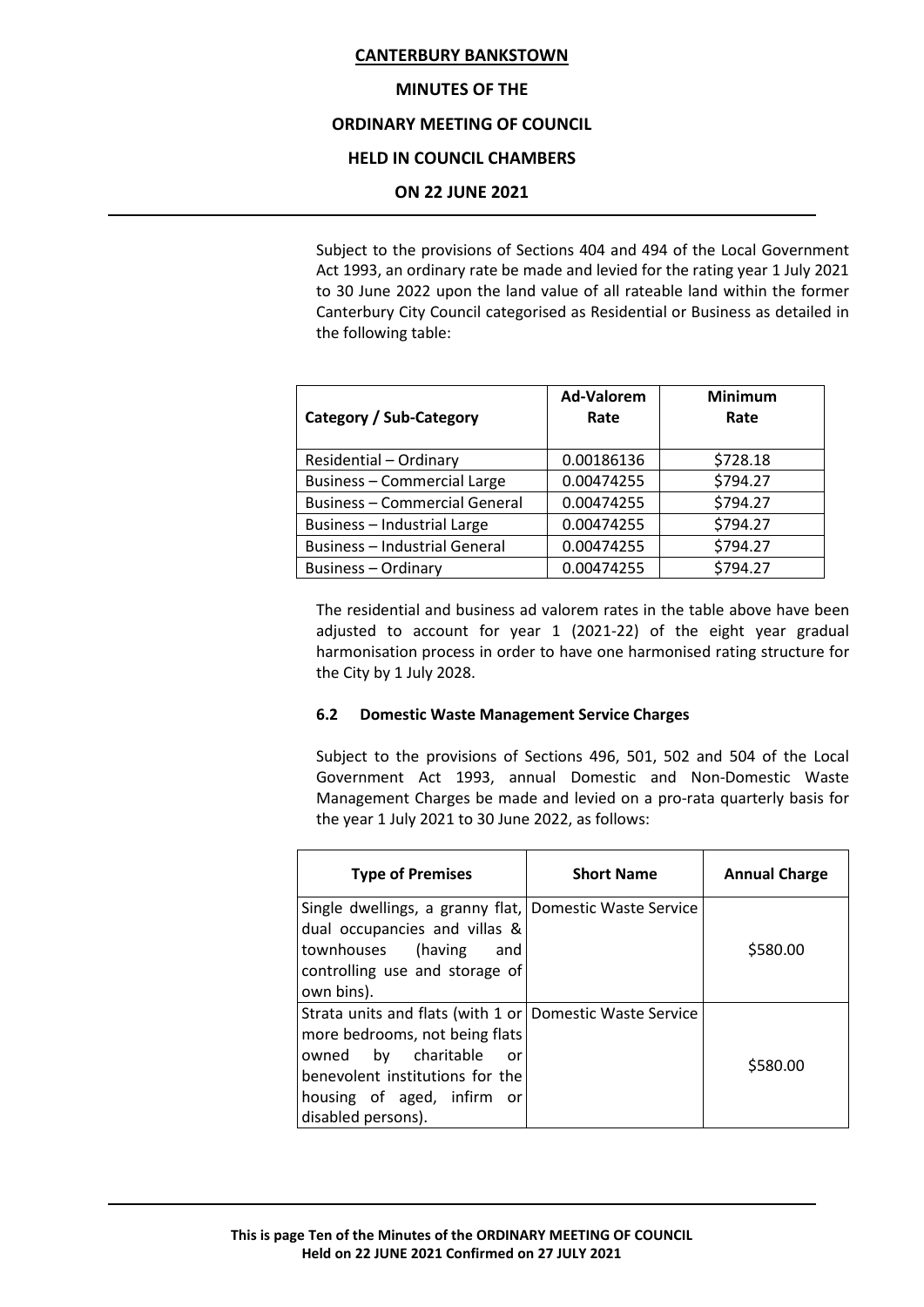#### **MINUTES OF THE**

## **ORDINARY MEETING OF COUNCIL**

## **HELD IN COUNCIL CHAMBERS**

#### **ON 22 JUNE 2021**

Subject to the provisions of Sections 404 and 494 of the Local Government Act 1993, an ordinary rate be made and levied for the rating year 1 July 2021 to 30 June 2022 upon the land value of all rateable land within the former Canterbury City Council categorised as Residential or Business as detailed in the following table:

| Category / Sub-Category              | <b>Ad-Valorem</b><br>Rate | <b>Minimum</b><br>Rate |
|--------------------------------------|---------------------------|------------------------|
| Residential - Ordinary               | 0.00186136                | \$728.18               |
| <b>Business - Commercial Large</b>   | 0.00474255                | \$794.27               |
| <b>Business - Commercial General</b> | 0.00474255                | \$794.27               |
| Business - Industrial Large          | 0.00474255                | \$794.27               |
| <b>Business - Industrial General</b> | 0.00474255                | \$794.27               |
| <b>Business - Ordinary</b>           | 0.00474255                | \$794.27               |

The residential and business ad valorem rates in the table above have been adjusted to account for year 1 (2021-22) of the eight year gradual harmonisation process in order to have one harmonised rating structure for the City by 1 July 2028.

## **6.2 Domestic Waste Management Service Charges**

Subject to the provisions of Sections 496, 501, 502 and 504 of the Local Government Act 1993, annual Domestic and Non-Domestic Waste Management Charges be made and levied on a pro-rata quarterly basis for the year 1 July 2021 to 30 June 2022, as follows:

| <b>Type of Premises</b>                                                                                                                                                                                                      | <b>Short Name</b> | <b>Annual Charge</b> |
|------------------------------------------------------------------------------------------------------------------------------------------------------------------------------------------------------------------------------|-------------------|----------------------|
| Single dwellings, a granny flat, Domestic Waste Service<br>dual occupancies and villas &<br>townhouses (having<br>and<br>controlling use and storage of<br>own bins).                                                        |                   | \$580.00             |
| Strata units and flats (with 1 or Domestic Waste Service<br>more bedrooms, not being flats<br>charitable<br>owned by<br><b>or</b><br>benevolent institutions for the<br>housing of aged, infirm<br>or.<br>disabled persons). |                   | \$580.00             |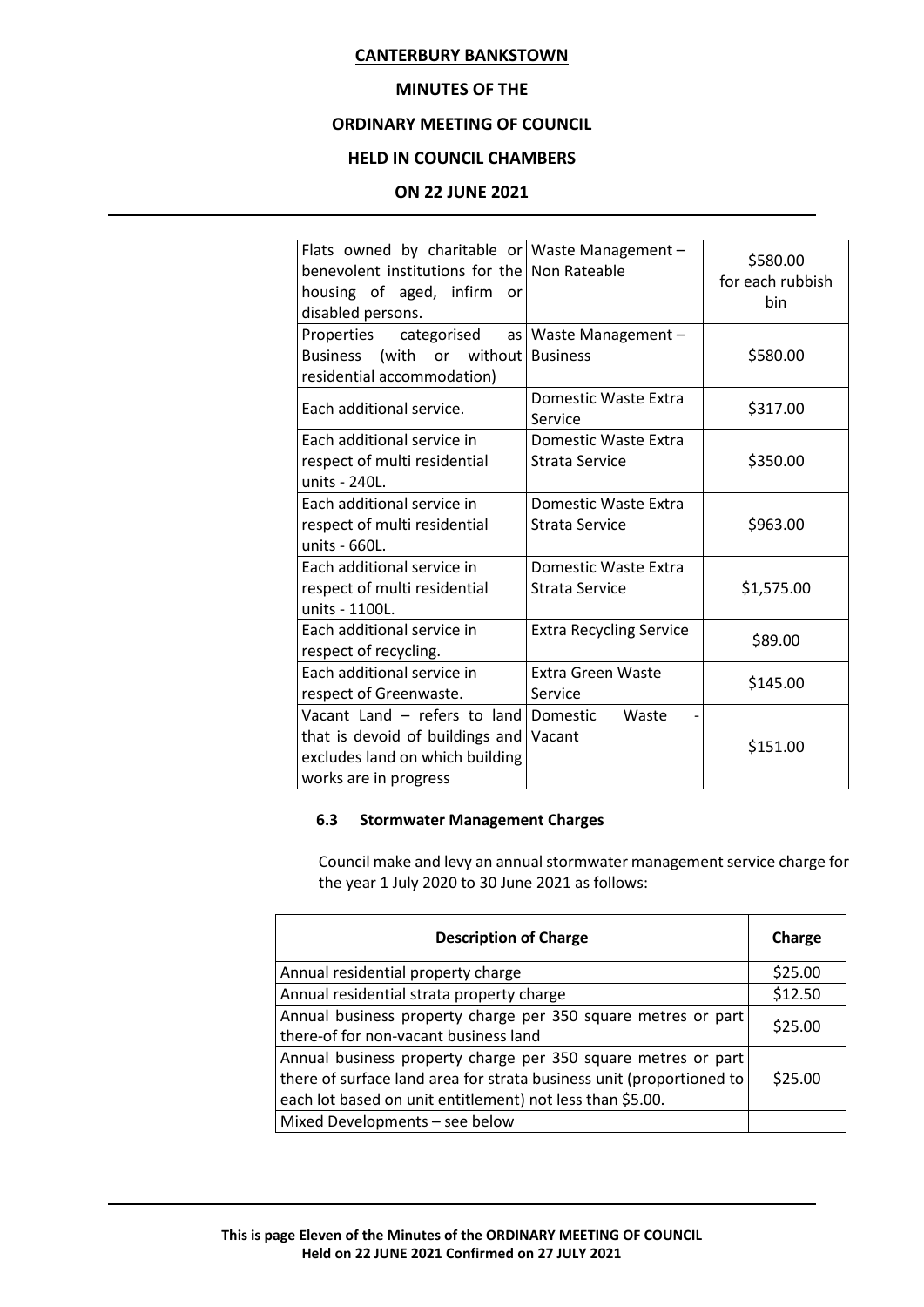## **MINUTES OF THE**

## **ORDINARY MEETING OF COUNCIL**

## **HELD IN COUNCIL CHAMBERS**

## **ON 22 JUNE 2021**

| Flats owned by charitable or Waste Management –<br>benevolent institutions for the Non Rateable<br>housing of aged, infirm<br>or<br>disabled persons. |                                        | \$580.00<br>for each rubbish<br>hin |
|-------------------------------------------------------------------------------------------------------------------------------------------------------|----------------------------------------|-------------------------------------|
| Properties categorised<br>Business (with or without Business<br>residential accommodation)                                                            | as   Waste Management -                | \$580.00                            |
| Each additional service.                                                                                                                              | Domestic Waste Extra<br>Service        | \$317.00                            |
| Each additional service in<br>respect of multi residential<br>units - 240L.                                                                           | Domestic Waste Extra<br>Strata Service | \$350.00                            |
| Each additional service in<br>respect of multi residential<br>units - 660L.                                                                           | Domestic Waste Extra<br>Strata Service | \$963.00                            |
| Each additional service in<br>respect of multi residential<br>units - 1100L.                                                                          | Domestic Waste Extra<br>Strata Service | \$1,575.00                          |
| Each additional service in<br>respect of recycling.                                                                                                   | <b>Extra Recycling Service</b>         | \$89.00                             |
| Each additional service in<br>respect of Greenwaste.                                                                                                  | <b>Extra Green Waste</b><br>Service    | \$145.00                            |
| Vacant Land - refers to land Domestic<br>that is devoid of buildings and<br>excludes land on which building<br>works are in progress                  | Waste<br>Vacant                        | \$151.00                            |

## **6.3 Stormwater Management Charges**

Council make and levy an annual stormwater management service charge for the year 1 July 2020 to 30 June 2021 as follows:

| <b>Description of Charge</b>                                         | Charge  |
|----------------------------------------------------------------------|---------|
| Annual residential property charge                                   | \$25.00 |
| Annual residential strata property charge                            | \$12.50 |
| Annual business property charge per 350 square metres or part        | \$25.00 |
| there-of for non-vacant business land                                |         |
| Annual business property charge per 350 square metres or part        |         |
| there of surface land area for strata business unit (proportioned to | \$25.00 |
| each lot based on unit entitlement) not less than \$5.00.            |         |
| Mixed Developments - see below                                       |         |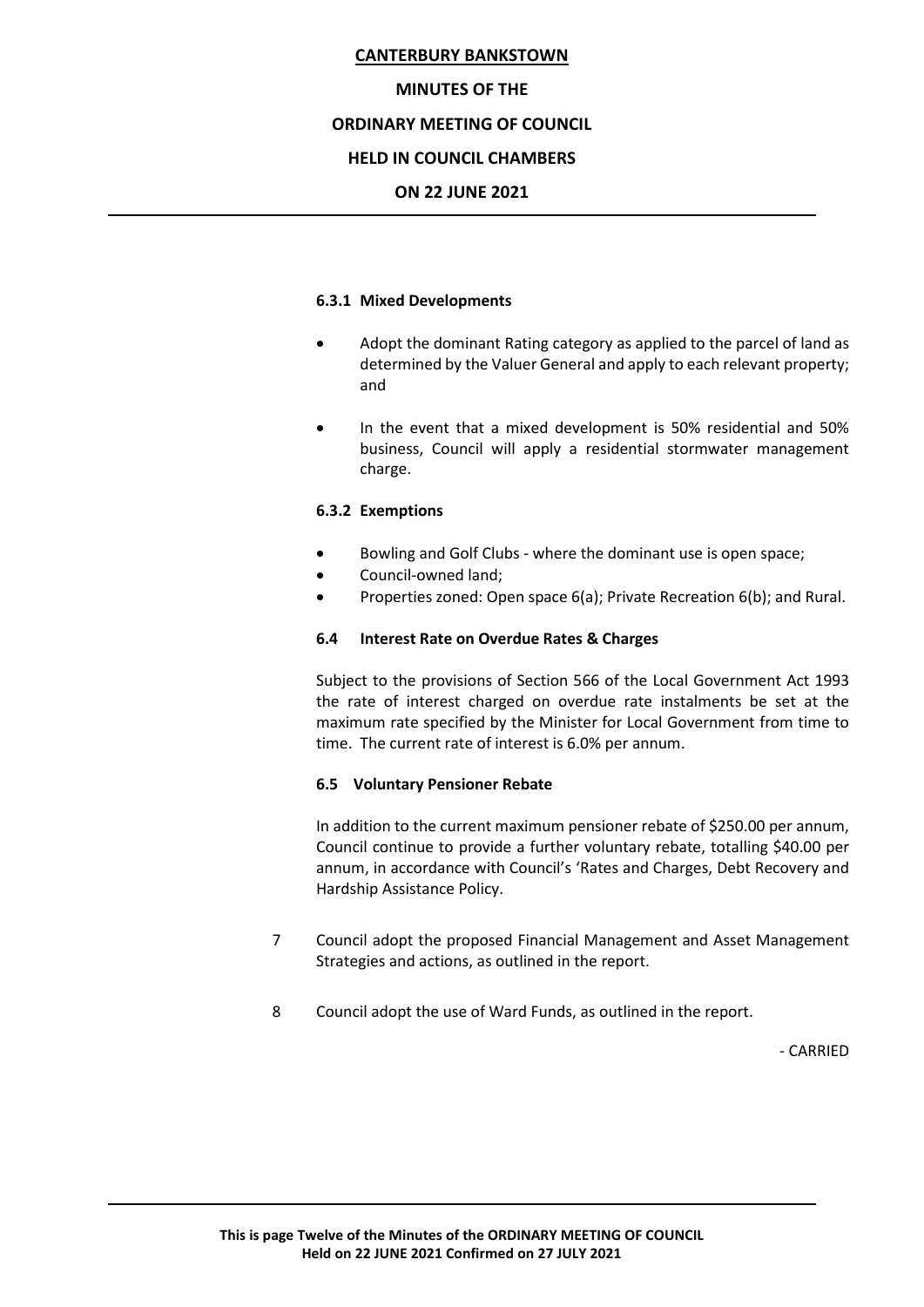## **MINUTES OF THE**

## **ORDINARY MEETING OF COUNCIL**

## **HELD IN COUNCIL CHAMBERS**

## **ON 22 JUNE 2021**

#### **6.3.1 Mixed Developments**

- Adopt the dominant Rating category as applied to the parcel of land as determined by the Valuer General and apply to each relevant property; and
- In the event that a mixed development is 50% residential and 50% business, Council will apply a residential stormwater management charge.

## **6.3.2 Exemptions**

- Bowling and Golf Clubs where the dominant use is open space;
- Council-owned land;
- Properties zoned: Open space 6(a); Private Recreation 6(b); and Rural.

## **6.4 Interest Rate on Overdue Rates & Charges**

Subject to the provisions of Section 566 of the Local Government Act 1993 the rate of interest charged on overdue rate instalments be set at the maximum rate specified by the Minister for Local Government from time to time. The current rate of interest is 6.0% per annum.

## **6.5 Voluntary Pensioner Rebate**

In addition to the current maximum pensioner rebate of \$250.00 per annum, Council continue to provide a further voluntary rebate, totalling \$40.00 per annum, in accordance with Council's 'Rates and Charges, Debt Recovery and Hardship Assistance Policy.

- 7 Council adopt the proposed Financial Management and Asset Management Strategies and actions, as outlined in the report.
- 8 Council adopt the use of Ward Funds, as outlined in the report.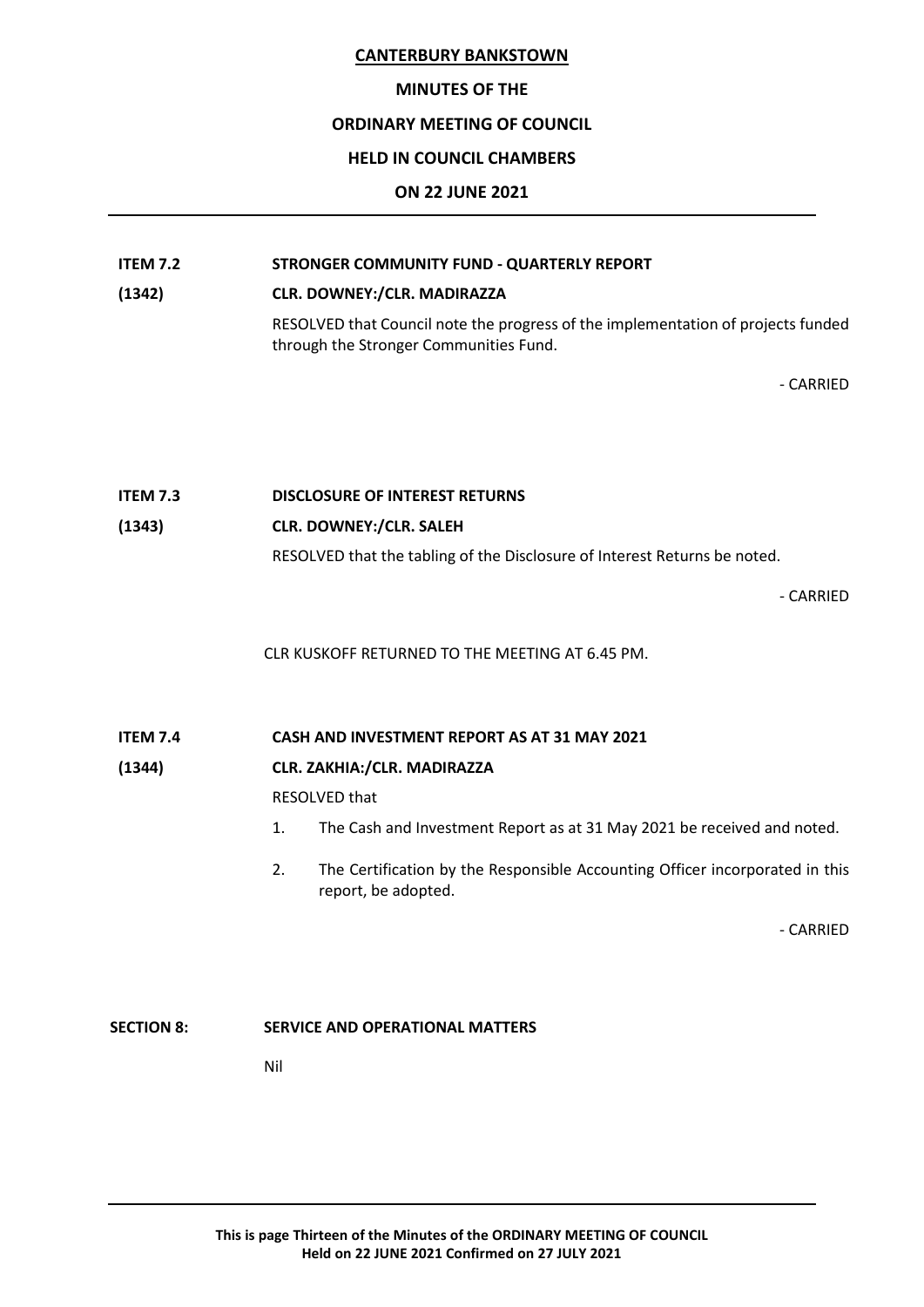#### **MINUTES OF THE**

## **ORDINARY MEETING OF COUNCIL**

#### **HELD IN COUNCIL CHAMBERS**

#### **ON 22 JUNE 2021**

# **ITEM 7.2 STRONGER COMMUNITY FUND - QUARTERLY REPORT**

#### **(1342) CLR. DOWNEY:/CLR. MADIRAZZA**

RESOLVED that Council note the progress of the implementation of projects funded through the Stronger Communities Fund.

- CARRIED

## **ITEM 7.3 DISCLOSURE OF INTEREST RETURNS**

## **(1343) CLR. DOWNEY:/CLR. SALEH**

RESOLVED that the tabling of the Disclosure of Interest Returns be noted.

- CARRIED

CLR KUSKOFF RETURNED TO THE MEETING AT 6.45 PM.

**ITEM 7.4 CASH AND INVESTMENT REPORT AS AT 31 MAY 2021**

## **(1344) CLR. ZAKHIA:/CLR. MADIRAZZA**

RESOLVED that

- 1. The Cash and Investment Report as at 31 May 2021 be received and noted.
- 2. The Certification by the Responsible Accounting Officer incorporated in this report, be adopted.

- CARRIED

## **SECTION 8: SERVICE AND OPERATIONAL MATTERS**

Nil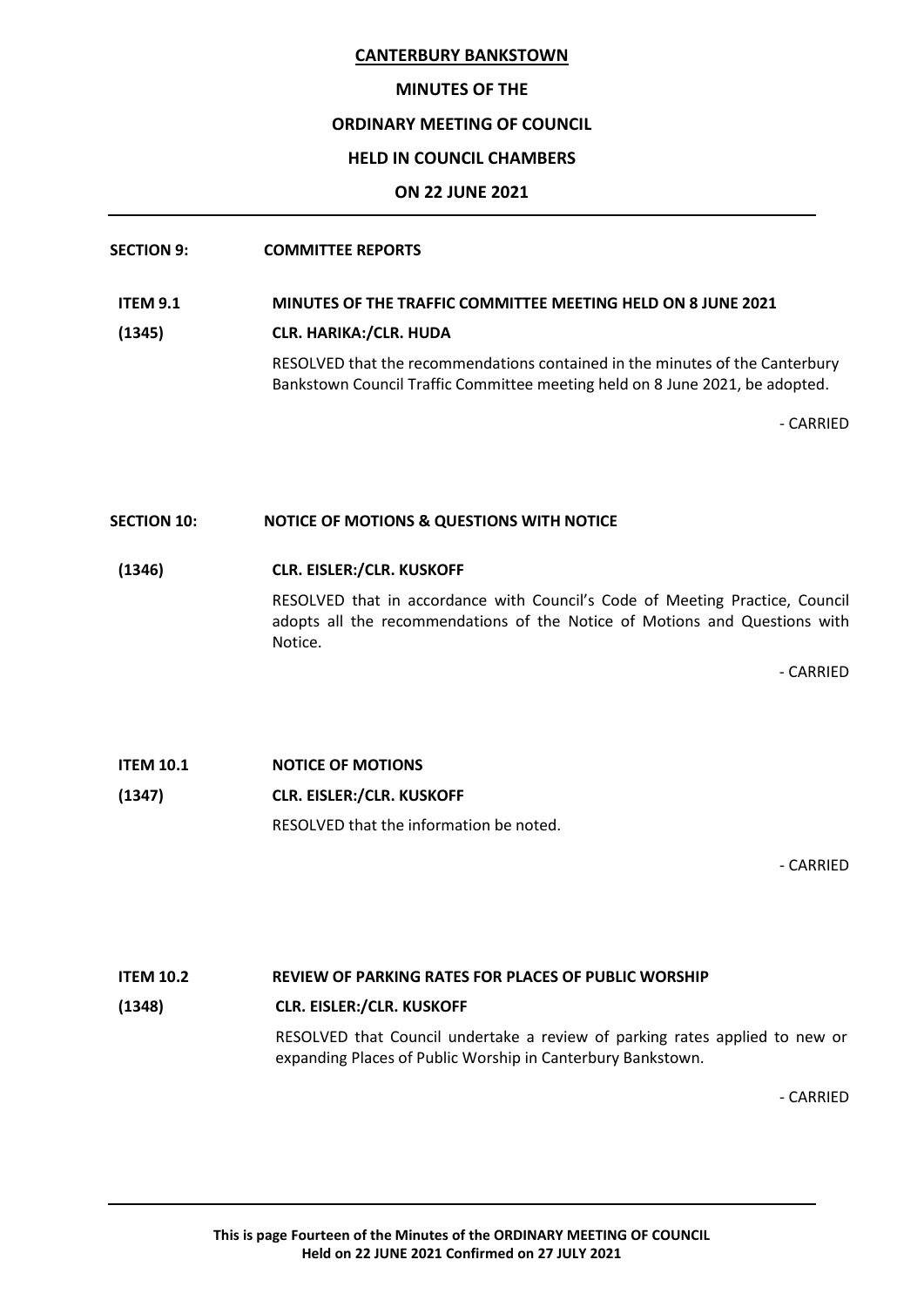#### **MINUTES OF THE**

## **ORDINARY MEETING OF COUNCIL**

## **HELD IN COUNCIL CHAMBERS**

## **ON 22 JUNE 2021**

## **SECTION 9: COMMITTEE REPORTS**

## **ITEM 9.1 MINUTES OF THE TRAFFIC COMMITTEE MEETING HELD ON 8 JUNE 2021**

**(1345) CLR. HARIKA:/CLR. HUDA**

RESOLVED that the recommendations contained in the minutes of the Canterbury Bankstown Council Traffic Committee meeting held on 8 June 2021, be adopted.

- CARRIED

## **SECTION 10: NOTICE OF MOTIONS & QUESTIONS WITH NOTICE**

## **(1346) CLR. EISLER:/CLR. KUSKOFF**

RESOLVED that in accordance with Council's Code of Meeting Practice, Council adopts all the recommendations of the Notice of Motions and Questions with Notice.

- CARRIED

# **ITEM 10.1 NOTICE OF MOTIONS (1347) CLR. EISLER:/CLR. KUSKOFF** RESOLVED that the information be noted.

- CARRIED

## **ITEM 10.2 REVIEW OF PARKING RATES FOR PLACES OF PUBLIC WORSHIP**

## **(1348) CLR. EISLER:/CLR. KUSKOFF**

RESOLVED that Council undertake a review of parking rates applied to new or expanding Places of Public Worship in Canterbury Bankstown.